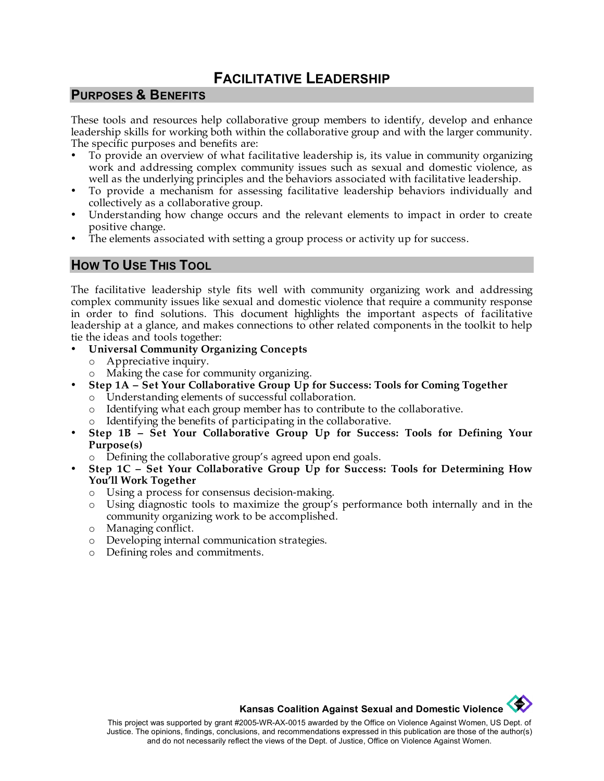# **FACILITATIVE LEADERSHIP**

### **PURPOSES & BENEFITS**

These tools and resources help collaborative group members to identify, develop and enhance leadership skills for working both within the collaborative group and with the larger community. The specific purposes and benefits are:

- To provide an overview of what facilitative leadership is, its value in community organizing work and addressing complex community issues such as sexual and domestic violence, as well as the underlying principles and the behaviors associated with facilitative leadership.
- To provide a mechanism for assessing facilitative leadership behaviors individually and collectively as a collaborative group.
- Understanding how change occurs and the relevant elements to impact in order to create positive change.
- The elements associated with setting a group process or activity up for success.

### **HOW TO USE THIS TOOL**

The facilitative leadership style fits well with community organizing work and addressing complex community issues like sexual and domestic violence that require a community response in order to find solutions. This document highlights the important aspects of facilitative leadership at a glance, and makes connections to other related components in the toolkit to help tie the ideas and tools together:

- **Universal Community Organizing Concepts**
	- o Appreciative inquiry.
	- o Making the case for community organizing.
	- **Step 1A Set Your Collaborative Group Up for Success: Tools for Coming Together**
		- o Understanding elements of successful collaboration.
		- o Identifying what each group member has to contribute to the collaborative.
		- o Identifying the benefits of participating in the collaborative.
- **Step 1B Set Your Collaborative Group Up for Success: Tools for Defining Your Purpose(s)**
	- o Defining the collaborative group's agreed upon end goals.
- **Step 1C Set Your Collaborative Group Up for Success: Tools for Determining How You'll Work Together**
	- o Using a process for consensus decision-making.
	- o Using diagnostic tools to maximize the group's performance both internally and in the community organizing work to be accomplished.
	- o Managing conflict.
	- o Developing internal communication strategies.
	- o Defining roles and commitments.

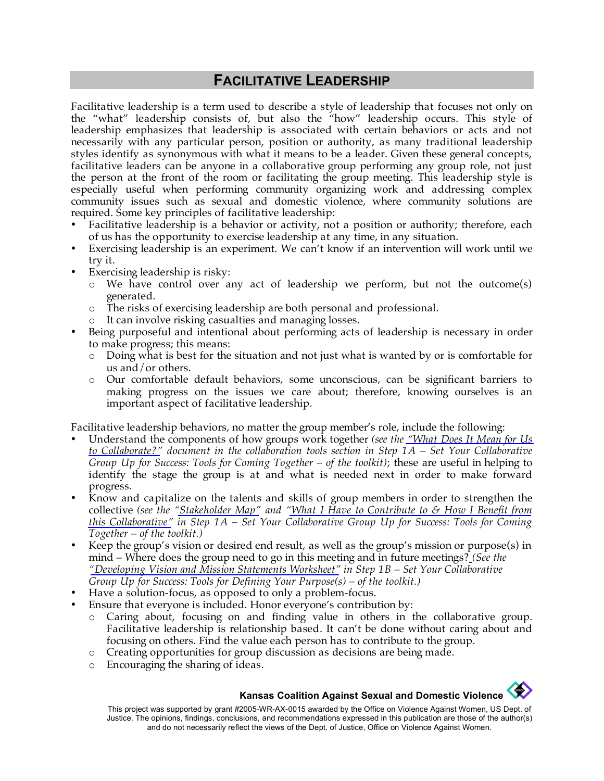# **FACILITATIVE LEADERSHIP**

Facilitative leadership is a term used to describe a style of leadership that focuses not only on the "what" leadership consists of, but also the "how" leadership occurs. This style of leadership emphasizes that leadership is associated with certain behaviors or acts and not necessarily with any particular person, position or authority, as many traditional leadership styles identify as synonymous with what it means to be a leader. Given these general concepts, facilitative leaders can be anyone in a collaborative group performing any group role, not just the person at the front of the room or facilitating the group meeting. This leadership style is especially useful when performing community organizing work and addressing complex community issues such as sexual and domestic violence, where community solutions are required. Some key principles of facilitative leadership:

- Facilitative leadership is a behavior or activity, not a position or authority; therefore, each of us has the opportunity to exercise leadership at any time, in any situation.
- Exercising leadership is an experiment. We can't know if an intervention will work until we try it.
- Exercising leadership is risky:
	- o We have control over any act of leadership we perform, but not the outcome(s) generated.
	- o The risks of exercising leadership are both personal and professional.
	- o It can involve risking casualties and managing losses.
- Being purposeful and intentional about performing acts of leadership is necessary in order to make progress; this means:
	- o Doing what is best for the situation and not just what is wanted by or is comfortable for us and/or others.
	- o Our comfortable default behaviors, some unconscious, can be significant barriers to making progress on the issues we care about; therefore, knowing ourselves is an important aspect of facilitative leadership.

Facilitative leadership behaviors, no matter the group member's role, include the following:

- Understand the components of how groups work together *(see the ["What Does It Mean for Us](http://www.kcsdv.org/toolkit/commorgtoolkit.html#Collaborate)  [to Collaborate?"](http://www.kcsdv.org/toolkit/commorgtoolkit.html#Collaborate) document in the collaboration tools section in Step 1A – Set Your Collaborative Group Up for Success: Tools for Coming Together – of the toolkit)*; these are useful in helping to identify the stage the group is at and what is needed next in order to make forward progress.
- Know and capitalize on the talents and skills of group members in order to strengthen the collective *(see the ["Stakeholder Map"](http://www.kcsdv.org/toolkit/commorgtoolkit.html#StakeholderMap) and ["What I Have to Contribute to & How I Benefit from](http://www.kcsdv.org/toolkit/commorgtoolkit.html#ContributeandBenefit) [this Collaborative"](http://www.kcsdv.org/toolkit/commorgtoolkit.html#ContributeandBenefit) in Step 1A – Set Your Collaborative Group Up for Success: Tools for Coming Together – of the toolkit.)*
- Keep the group's vision or desired end result, as well as the group's mission or purpose(s) in mind – Where does the group need to go in this meeting and in future meetings? *(See the ["Developing Vision and Mission Statements Worksheet"](http://www.kcsdv.org/toolkit/commorgtoolkit.html#VisionandMissionStatements) in Step 1B – Set Your Collaborative Group Up for Success: Tools for Defining Your Purpose(s) – of the toolkit.)*
- Have a solution-focus, as opposed to only a problem-focus.
- Ensure that everyone is included. Honor everyone's contribution by:
	- o Caring about, focusing on and finding value in others in the collaborative group. Facilitative leadership is relationship based. It can't be done without caring about and focusing on others. Find the value each person has to contribute to the group.
	- o Creating opportunities for group discussion as decisions are being made.
	- o Encouraging the sharing of ideas.

#### **Kansas Coalition Against Sexual and Domestic Violence**

This project was supported by grant #2005-WR-AX-0015 awarded by the Office on Violence Against Women, US Dept. of Justice. The opinions, findings, conclusions, and recommendations expressed in this publication are those of the author(s) and do not necessarily reflect the views of the Dept. of Justice, Office on Violence Against Women.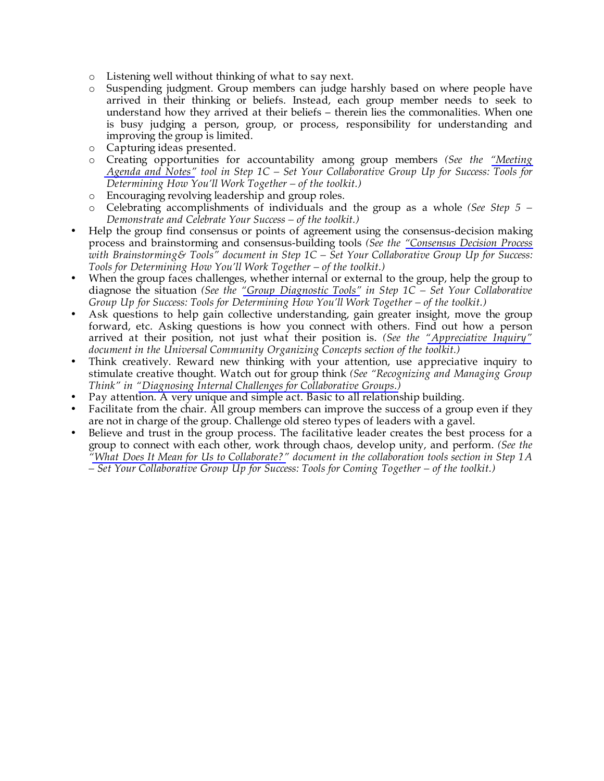- o Listening well without thinking of what to say next.
- o Suspending judgment. Group members can judge harshly based on where people have arrived in their thinking or beliefs. Instead, each group member needs to seek to understand how they arrived at their beliefs – therein lies the commonalities. When one is busy judging a person, group, or process, responsibility for understanding and improving the group is limited.
- o Capturing ideas presented.
- o Creating opportunities for accountability among group members *(See the ["Meeting](http://www.kcsdv.org/toolkit/commorgtoolkit.html#AgendaandNotes)  [Agenda and Notes"](http://www.kcsdv.org/toolkit/commorgtoolkit.html#AgendaandNotes) tool in Step 1C – Set Your Collaborative Group Up for Success: Tools for Determining How You'll Work Together – of the toolkit.)*
- o Encouraging revolving leadership and group roles.
- o Celebrating accomplishments of individuals and the group as a whole *(See Step 5 – Demonstrate and Celebrate Your Success – of the toolkit.)*
- Help the group find consensus or points of agreement using the consensus-decision making process and brainstorming and consensus-building tools *(See the ["Consensus Decision Process](http://www.kcsdv.org/toolkit/commorgtoolkit.html#Consensus)  with Brainstorming& Tools" document in Step 1C – Set Your Collaborative Group Up for Success: Tools for Determining How You'll Work Together – of the toolkit.)*
- When the group faces challenges, whether internal or external to the group, help the group to diagnose the situation *(See the ["Group Diagnostic Tools"](http://www.kcsdv.org/toolkit/commorgtoolkit.html#Diagnosing) in Step 1C – Set Your Collaborative Group Up for Success: Tools for Determining How You'll Work Together – of the toolkit.)*
- Ask questions to help gain collective understanding, gain greater insight, move the group forward, etc. Asking questions is how you connect with others. Find out how a person arrived at their position, not just what their position is. *(See the ["Appreciative Inquiry"](http://www.kcsdv.org/toolkit/commorgtoolkit.html#AppreciativeInquiry) document in the Universal Community Organizing Concepts section of the toolkit.)*
- Think creatively. Reward new thinking with your attention, use appreciative inquiry to stimulate creative thought. Watch out for group think *(See "Recognizing and Managing Group Think" in ["Diagnosing Internal Challenges for Collaborative Groups.\)](http://www.kcsdv.org/toolkit/commorgtoolkit.html#Diagnosing)*
- Pay attention. A very unique and simple act. Basic to all relationship building.
- Facilitate from the chair. All group members can improve the success of a group even if they are not in charge of the group. Challenge old stereo types of leaders with a gavel.
- Believe and trust in the group process. The facilitative leader creates the best process for a group to connect with each other, work through chaos, develop unity, and perform. *(See the ["What Does It Mean for Us to Collaborate?"](http://www.kcsdv.org/toolkit/commorgtoolkit.html#Collaborate) document in the collaboration tools section in Step 1A – Set Your Collaborative Group Up for Success: Tools for Coming Together – of the toolkit.)*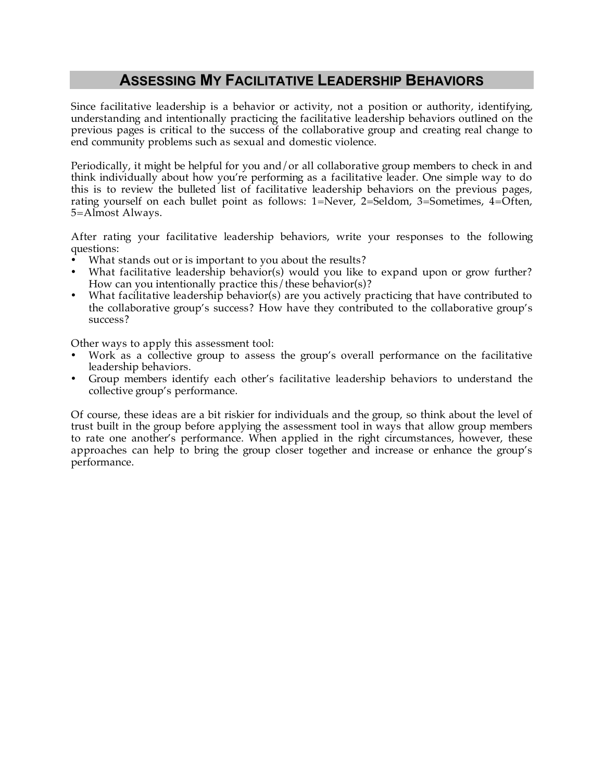# **ASSESSING MY FACILITATIVE LEADERSHIP BEHAVIORS**

Since facilitative leadership is a behavior or activity, not a position or authority, identifying, understanding and intentionally practicing the facilitative leadership behaviors outlined on the previous pages is critical to the success of the collaborative group and creating real change to end community problems such as sexual and domestic violence.

Periodically, it might be helpful for you and/or all collaborative group members to check in and think individually about how you're performing as a facilitative leader. One simple way to do this is to review the bulleted list of facilitative leadership behaviors on the previous pages, rating yourself on each bullet point as follows: 1=Never, 2=Seldom, 3=Sometimes, 4=Often, 5=Almost Always.

After rating your facilitative leadership behaviors, write your responses to the following questions:

- What stands out or is important to you about the results?
- What facilitative leadership behavior(s) would you like to expand upon or grow further? How can you intentionally practice this/these behavior(s)?
- What facilitative leadership behavior(s) are you actively practicing that have contributed to the collaborative group's success? How have they contributed to the collaborative group's success?

Other ways to apply this assessment tool:

- Work as a collective group to assess the group's overall performance on the facilitative leadership behaviors.
- Group members identify each other's facilitative leadership behaviors to understand the collective group's performance.

Of course, these ideas are a bit riskier for individuals and the group, so think about the level of trust built in the group before applying the assessment tool in ways that allow group members to rate one another's performance. When applied in the right circumstances, however, these approaches can help to bring the group closer together and increase or enhance the group's performance.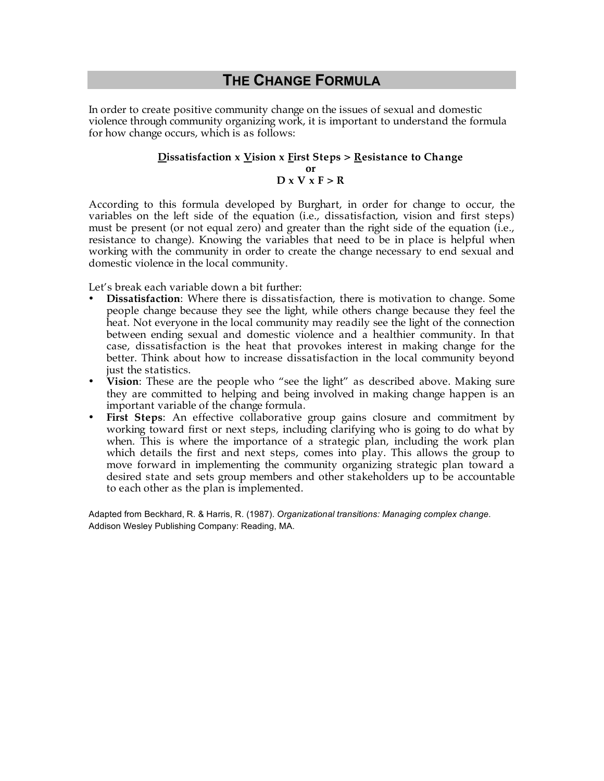## **THE CHANGE FORMULA**

In order to create positive community change on the issues of sexual and domestic violence through community organizing work, it is important to understand the formula for how change occurs, which is as follows:

### **Dissatisfaction x Vision x First Steps > Resistance to Change**

#### **or D x V x F > R**

According to this formula developed by Burghart, in order for change to occur, the variables on the left side of the equation (i.e., dissatisfaction, vision and first steps) must be present (or not equal zero) and greater than the right side of the equation (i.e., resistance to change). Knowing the variables that need to be in place is helpful when working with the community in order to create the change necessary to end sexual and domestic violence in the local community.

Let's break each variable down a bit further:

- **Dissatisfaction**: Where there is dissatisfaction, there is motivation to change. Some people change because they see the light, while others change because they feel the heat. Not everyone in the local community may readily see the light of the connection between ending sexual and domestic violence and a healthier community. In that case, dissatisfaction is the heat that provokes interest in making change for the better. Think about how to increase dissatisfaction in the local community beyond just the statistics.
- **Vision**: These are the people who "see the light" as described above. Making sure they are committed to helping and being involved in making change happen is an important variable of the change formula.
- **First Steps**: An effective collaborative group gains closure and commitment by working toward first or next steps, including clarifying who is going to do what by when. This is where the importance of a strategic plan, including the work plan which details the first and next steps, comes into play. This allows the group to move forward in implementing the community organizing strategic plan toward a desired state and sets group members and other stakeholders up to be accountable to each other as the plan is implemented.

Adapted from Beckhard, R. & Harris, R. (1987). *Organizational transitions: Managing complex change*. Addison Wesley Publishing Company: Reading, MA.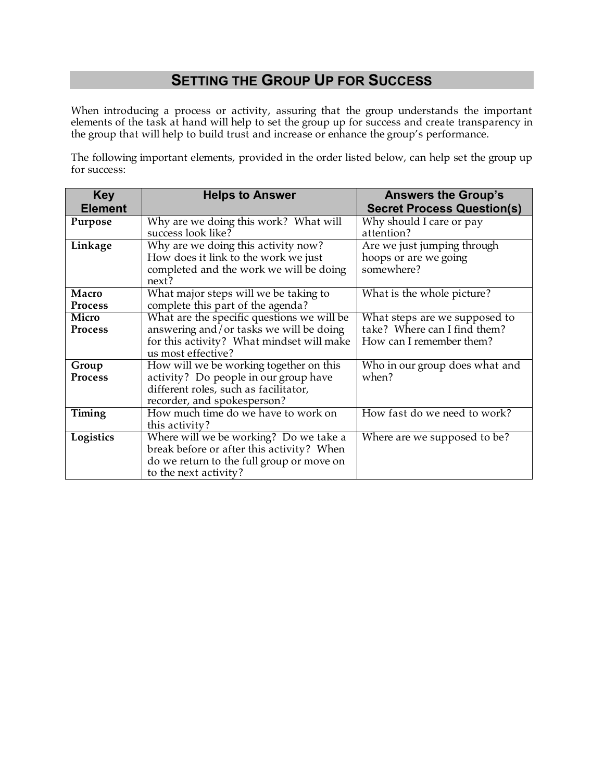# **SETTING THE GROUP UP FOR SUCCESS**

When introducing a process or activity, assuring that the group understands the important elements of the task at hand will help to set the group up for success and create transparency in the group that will help to build trust and increase or enhance the group's performance.

The following important elements, provided in the order listed below, can help set the group up for success:

| <b>Key</b>     | <b>Helps to Answer</b>                     | <b>Answers the Group's</b>        |
|----------------|--------------------------------------------|-----------------------------------|
| <b>Element</b> |                                            | <b>Secret Process Question(s)</b> |
| Purpose        | Why are we doing this work? What will      | Why should I care or pay          |
|                | success look like?                         | attention?                        |
| Linkage        | Why are we doing this activity now?        | Are we just jumping through       |
|                | How does it link to the work we just       | hoops or are we going             |
|                | completed and the work we will be doing    | somewhere?                        |
|                | next?                                      |                                   |
| Macro          | What major steps will we be taking to      | What is the whole picture?        |
| <b>Process</b> | complete this part of the agenda?          |                                   |
| Micro          | What are the specific questions we will be | What steps are we supposed to     |
| <b>Process</b> | answering and/or tasks we will be doing    | take? Where can I find them?      |
|                | for this activity? What mindset will make  | How can I remember them?          |
|                | us most effective?                         |                                   |
| Group          | How will we be working together on this    | Who in our group does what and    |
| <b>Process</b> | activity? Do people in our group have      | when?                             |
|                | different roles, such as facilitator,      |                                   |
|                | recorder, and spokesperson?                |                                   |
| Timing         | How much time do we have to work on        | How fast do we need to work?      |
|                | this activity?                             |                                   |
| Logistics      | Where will we be working? Do we take a     | Where are we supposed to be?      |
|                | break before or after this activity? When  |                                   |
|                | do we return to the full group or move on  |                                   |
|                | to the next activity?                      |                                   |